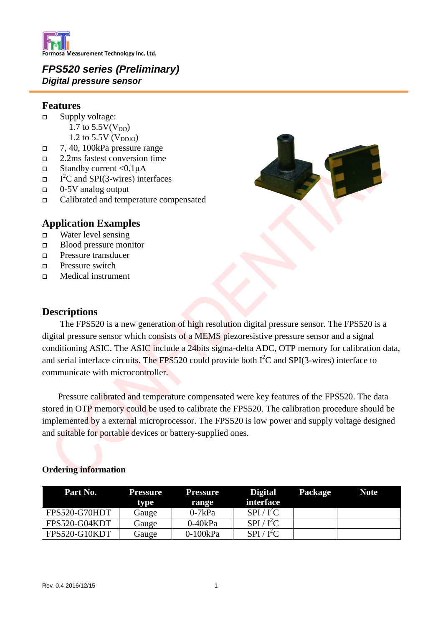

## *FPS520 series (Preliminary) Digital pressure sensor*

## **Features**

- $\Box$  Supply voltage: 1.7 to  $5.5V(V_{DD})$ 
	- 1.2 to  $5.5V$  ( $V<sub>DDIO</sub>$ )
- $7, 40, 100$ kPa pressure range
- 2.2ms fastest conversion time
- $\Box$  Standby current <0.1μA
- $\Box$  $I<sup>2</sup>C$  and SPI(3-wires) interfaces
- $\Box$  0-5V analog output
- Calibrated and temperature compensated

## **Application Examples**

- Water level sensing
- Blood pressure monitor
- Pressure transducer
- $\Box$  Pressure switch
- Medical instrument

## **Descriptions**

 The FPS520 is a new generation of high resolution digital pressure sensor. The FPS520 is a digital pressure sensor which consists of a MEMS piezoresistive pressure sensor and a signal conditioning ASIC. The ASIC include a 24bits sigma-delta ADC, OTP memory for calibration data, and serial interface circuits. The FPS520 could provide both  $I<sup>2</sup>C$  and SPI(3-wires) interface to communicate with microcontroller.

Pressure calibrated and temperature compensated were key features of the FPS520. The data stored in OTP memory could be used to calibrate the FPS520. The calibration procedure should be implemented by a external microprocessor. The FPS520 is low power and supply voltage designed and suitable for portable devices or battery-supplied ones.

| Part No.      | Pressure<br>tvpe | <b>Pressure</b><br>range | <b>Digital</b><br><b>interface</b> | Package | <b>Note</b> |
|---------------|------------------|--------------------------|------------------------------------|---------|-------------|
| FPS520-G70HDT | Gauge            | $0-7kPa$                 | $SPI / I^2C$                       |         |             |
| FPS520-G04KDT | Gauge            | $0-40kPa$                | $SPI / I^2C$                       |         |             |
| FPS520-G10KDT | Gauge            | $0-100kPa$               | $SPI / I^2C$                       |         |             |

## **Ordering information**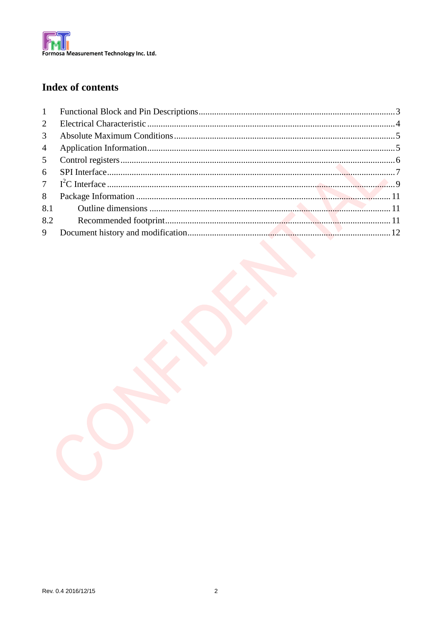

## **Index of contents**

| 2              |  |
|----------------|--|
| $\mathfrak{Z}$ |  |
| $\overline{4}$ |  |
| 5 <sup>5</sup> |  |
| 6              |  |
|                |  |
| 8              |  |
|                |  |
| 8.2            |  |
|                |  |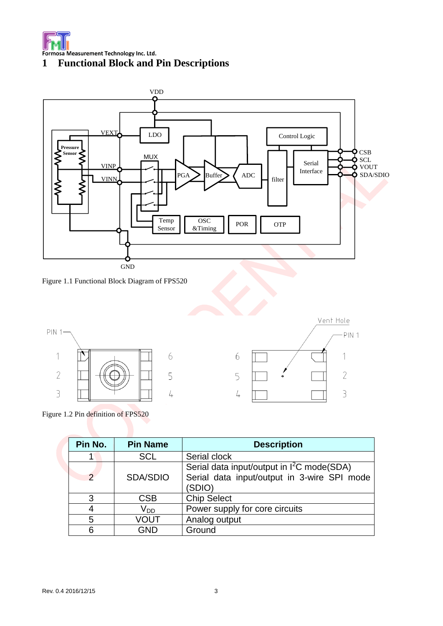





Figure 1.1 Functional Block Diagram of FPS520



Figure 1.2 Pin definition of FPS520

| Pin No.       | <b>Pin Name</b> | <b>Description</b>                                                                                              |  |  |  |  |  |
|---------------|-----------------|-----------------------------------------------------------------------------------------------------------------|--|--|--|--|--|
|               | <b>SCL</b>      | Serial clock                                                                                                    |  |  |  |  |  |
| $\mathcal{P}$ | <b>SDA/SDIO</b> | Serial data input/output in I <sup>2</sup> C mode(SDA)<br>Serial data input/output in 3-wire SPI mode<br>(SDIO) |  |  |  |  |  |
| 3             | <b>CSB</b>      | <b>Chip Select</b>                                                                                              |  |  |  |  |  |
| 4             | V <sub>DD</sub> | Power supply for core circuits                                                                                  |  |  |  |  |  |
| 5             | VOUT            | Analog output                                                                                                   |  |  |  |  |  |
| 6             | GND             | Ground                                                                                                          |  |  |  |  |  |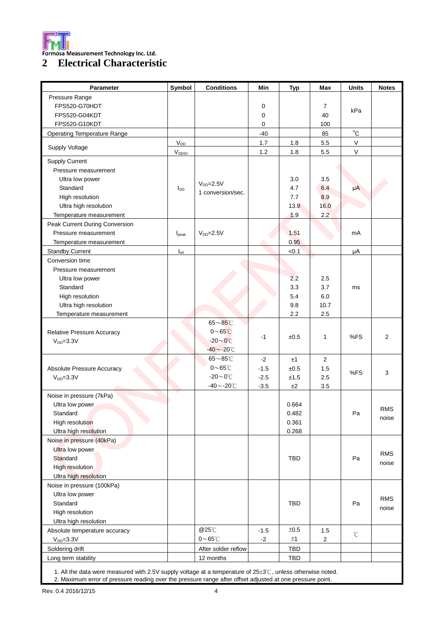

## **2 Electrical Characteristic**

| Pressure Range<br>FPS520-G70HDT<br>0<br>7<br>kPa<br>FPS520-G04KDT<br>40<br>0<br>FPS520-G10KDT<br>0<br>100<br>$^{\circ}$ C<br>$-40$<br>85<br><b>Operating Temperature Range</b><br>V<br>$V_{DD}$<br>1.8<br>5.5<br>1.7<br>Supply Voltage<br>$\mathsf V$<br>1.2<br>5.5<br>V <sub>DDIO</sub><br>1.8<br>Supply Current<br>Pressure measurement<br>Ultra low power<br>3.0<br>3.5<br>$V_{DD} = 2.5V$<br>Standard<br>4.7<br>6.4<br>μA<br>$I_{DD}$<br>1 conversion/sec.<br>High resolution<br>7.7<br>8.9<br>Ultra high resolution<br>13.9<br>16.0<br>2.2<br>1.9<br>Temperature measurement<br>Peak Current During Conversion<br>Pressure measurement<br>$V_{DD} = 2.5V$<br>1.51<br>mA<br>I <sub>peak</sub><br>0.95<br>Temperature measurement<br>< 0.1<br><b>Standby Current</b><br>μA<br>$I_{sd}$<br>Conversion time<br>Pressure measurement<br>2.2<br>Ultra low power<br>2.5<br>Standard<br>3.3<br>3.7<br>ms<br>5.4<br>6.0<br>High resolution<br>Ultra high resolution<br>9.8<br>10.7<br>2.2<br>2.5<br>Temperature measurement<br>$65\mathtt{\sim}85\mathtt{\degree}C$<br>$0\nthicksim 65^\circ C$<br>Relative Pressure Accuracy<br>%FS<br>2<br>$-1$<br>±0.5<br>1<br>$-20\sim0^{\circ}$ C<br>$V_{DD} = 3.3V$<br>$-40$ ~-20°C<br>$65\mathtt{\sim}85^{\circ}\mathtt{C}$<br>$\overline{2}$<br>$-2$<br>±1<br>$0\nthicksim 65^\circ C$<br>$-1.5$<br>Absolute Pressure Accuracy<br>±0.5<br>1.5<br>3<br>%FS<br>$-20\sim0^{\circ}$ C<br>$VDD=3.3V$<br>$-2.5$<br>2.5<br>±1.5<br>$-40$ ~-20 $°C$<br>$-3.5$<br>±2<br>3.5<br>Noise in pressure (7kPa)<br>Ultra low power<br>0.664<br><b>RMS</b><br>0.482<br>Standard<br>Pa<br>noise<br>High resolution<br>0.361<br>Ultra high resolution<br>0.268<br>Noise in pressure (40kPa)<br>Ultra low power<br><b>RMS</b><br>Standard<br>TBD<br>Pa<br>noise<br>High resolution<br>Ultra high resolution<br>Noise in pressure (100kPa)<br>Ultra low power<br><b>RMS</b><br>Standard<br><b>TBD</b><br>Pa<br>noise<br>High resolution<br>Ultra high resolution<br>@25°C<br>$\pm 0.5$<br>$-1.5$<br>Absolute temperature accuracy<br>1.5<br>$^{\circ}$ C<br>$0\nthicksim 65^\circ\!C$<br>±1<br>$V_{DD} = 3.3V$<br>$-2$<br>2<br>Soldering drift<br>TBD<br>After solder reflow<br>Long term stability<br>12 months<br>TBD | <b>Parameter</b> | Symbol | <b>Conditions</b> | Min | <b>Typ</b> | <b>Max</b> | <b>Units</b> | <b>Notes</b> |
|---------------------------------------------------------------------------------------------------------------------------------------------------------------------------------------------------------------------------------------------------------------------------------------------------------------------------------------------------------------------------------------------------------------------------------------------------------------------------------------------------------------------------------------------------------------------------------------------------------------------------------------------------------------------------------------------------------------------------------------------------------------------------------------------------------------------------------------------------------------------------------------------------------------------------------------------------------------------------------------------------------------------------------------------------------------------------------------------------------------------------------------------------------------------------------------------------------------------------------------------------------------------------------------------------------------------------------------------------------------------------------------------------------------------------------------------------------------------------------------------------------------------------------------------------------------------------------------------------------------------------------------------------------------------------------------------------------------------------------------------------------------------------------------------------------------------------------------------------------------------------------------------------------------------------------------------------------------------------------------------------------------------------------------------------------------------------------------------------------------------------------------------------------------------------------------------------------------------------------------|------------------|--------|-------------------|-----|------------|------------|--------------|--------------|
|                                                                                                                                                                                                                                                                                                                                                                                                                                                                                                                                                                                                                                                                                                                                                                                                                                                                                                                                                                                                                                                                                                                                                                                                                                                                                                                                                                                                                                                                                                                                                                                                                                                                                                                                                                                                                                                                                                                                                                                                                                                                                                                                                                                                                                       |                  |        |                   |     |            |            |              |              |
|                                                                                                                                                                                                                                                                                                                                                                                                                                                                                                                                                                                                                                                                                                                                                                                                                                                                                                                                                                                                                                                                                                                                                                                                                                                                                                                                                                                                                                                                                                                                                                                                                                                                                                                                                                                                                                                                                                                                                                                                                                                                                                                                                                                                                                       |                  |        |                   |     |            |            |              |              |
|                                                                                                                                                                                                                                                                                                                                                                                                                                                                                                                                                                                                                                                                                                                                                                                                                                                                                                                                                                                                                                                                                                                                                                                                                                                                                                                                                                                                                                                                                                                                                                                                                                                                                                                                                                                                                                                                                                                                                                                                                                                                                                                                                                                                                                       |                  |        |                   |     |            |            |              |              |
|                                                                                                                                                                                                                                                                                                                                                                                                                                                                                                                                                                                                                                                                                                                                                                                                                                                                                                                                                                                                                                                                                                                                                                                                                                                                                                                                                                                                                                                                                                                                                                                                                                                                                                                                                                                                                                                                                                                                                                                                                                                                                                                                                                                                                                       |                  |        |                   |     |            |            |              |              |
|                                                                                                                                                                                                                                                                                                                                                                                                                                                                                                                                                                                                                                                                                                                                                                                                                                                                                                                                                                                                                                                                                                                                                                                                                                                                                                                                                                                                                                                                                                                                                                                                                                                                                                                                                                                                                                                                                                                                                                                                                                                                                                                                                                                                                                       |                  |        |                   |     |            |            |              |              |
|                                                                                                                                                                                                                                                                                                                                                                                                                                                                                                                                                                                                                                                                                                                                                                                                                                                                                                                                                                                                                                                                                                                                                                                                                                                                                                                                                                                                                                                                                                                                                                                                                                                                                                                                                                                                                                                                                                                                                                                                                                                                                                                                                                                                                                       |                  |        |                   |     |            |            |              |              |
|                                                                                                                                                                                                                                                                                                                                                                                                                                                                                                                                                                                                                                                                                                                                                                                                                                                                                                                                                                                                                                                                                                                                                                                                                                                                                                                                                                                                                                                                                                                                                                                                                                                                                                                                                                                                                                                                                                                                                                                                                                                                                                                                                                                                                                       |                  |        |                   |     |            |            |              |              |
|                                                                                                                                                                                                                                                                                                                                                                                                                                                                                                                                                                                                                                                                                                                                                                                                                                                                                                                                                                                                                                                                                                                                                                                                                                                                                                                                                                                                                                                                                                                                                                                                                                                                                                                                                                                                                                                                                                                                                                                                                                                                                                                                                                                                                                       |                  |        |                   |     |            |            |              |              |
|                                                                                                                                                                                                                                                                                                                                                                                                                                                                                                                                                                                                                                                                                                                                                                                                                                                                                                                                                                                                                                                                                                                                                                                                                                                                                                                                                                                                                                                                                                                                                                                                                                                                                                                                                                                                                                                                                                                                                                                                                                                                                                                                                                                                                                       |                  |        |                   |     |            |            |              |              |
|                                                                                                                                                                                                                                                                                                                                                                                                                                                                                                                                                                                                                                                                                                                                                                                                                                                                                                                                                                                                                                                                                                                                                                                                                                                                                                                                                                                                                                                                                                                                                                                                                                                                                                                                                                                                                                                                                                                                                                                                                                                                                                                                                                                                                                       |                  |        |                   |     |            |            |              |              |
|                                                                                                                                                                                                                                                                                                                                                                                                                                                                                                                                                                                                                                                                                                                                                                                                                                                                                                                                                                                                                                                                                                                                                                                                                                                                                                                                                                                                                                                                                                                                                                                                                                                                                                                                                                                                                                                                                                                                                                                                                                                                                                                                                                                                                                       |                  |        |                   |     |            |            |              |              |
|                                                                                                                                                                                                                                                                                                                                                                                                                                                                                                                                                                                                                                                                                                                                                                                                                                                                                                                                                                                                                                                                                                                                                                                                                                                                                                                                                                                                                                                                                                                                                                                                                                                                                                                                                                                                                                                                                                                                                                                                                                                                                                                                                                                                                                       |                  |        |                   |     |            |            |              |              |
|                                                                                                                                                                                                                                                                                                                                                                                                                                                                                                                                                                                                                                                                                                                                                                                                                                                                                                                                                                                                                                                                                                                                                                                                                                                                                                                                                                                                                                                                                                                                                                                                                                                                                                                                                                                                                                                                                                                                                                                                                                                                                                                                                                                                                                       |                  |        |                   |     |            |            |              |              |
|                                                                                                                                                                                                                                                                                                                                                                                                                                                                                                                                                                                                                                                                                                                                                                                                                                                                                                                                                                                                                                                                                                                                                                                                                                                                                                                                                                                                                                                                                                                                                                                                                                                                                                                                                                                                                                                                                                                                                                                                                                                                                                                                                                                                                                       |                  |        |                   |     |            |            |              |              |
|                                                                                                                                                                                                                                                                                                                                                                                                                                                                                                                                                                                                                                                                                                                                                                                                                                                                                                                                                                                                                                                                                                                                                                                                                                                                                                                                                                                                                                                                                                                                                                                                                                                                                                                                                                                                                                                                                                                                                                                                                                                                                                                                                                                                                                       |                  |        |                   |     |            |            |              |              |
|                                                                                                                                                                                                                                                                                                                                                                                                                                                                                                                                                                                                                                                                                                                                                                                                                                                                                                                                                                                                                                                                                                                                                                                                                                                                                                                                                                                                                                                                                                                                                                                                                                                                                                                                                                                                                                                                                                                                                                                                                                                                                                                                                                                                                                       |                  |        |                   |     |            |            |              |              |
|                                                                                                                                                                                                                                                                                                                                                                                                                                                                                                                                                                                                                                                                                                                                                                                                                                                                                                                                                                                                                                                                                                                                                                                                                                                                                                                                                                                                                                                                                                                                                                                                                                                                                                                                                                                                                                                                                                                                                                                                                                                                                                                                                                                                                                       |                  |        |                   |     |            |            |              |              |
|                                                                                                                                                                                                                                                                                                                                                                                                                                                                                                                                                                                                                                                                                                                                                                                                                                                                                                                                                                                                                                                                                                                                                                                                                                                                                                                                                                                                                                                                                                                                                                                                                                                                                                                                                                                                                                                                                                                                                                                                                                                                                                                                                                                                                                       |                  |        |                   |     |            |            |              |              |
|                                                                                                                                                                                                                                                                                                                                                                                                                                                                                                                                                                                                                                                                                                                                                                                                                                                                                                                                                                                                                                                                                                                                                                                                                                                                                                                                                                                                                                                                                                                                                                                                                                                                                                                                                                                                                                                                                                                                                                                                                                                                                                                                                                                                                                       |                  |        |                   |     |            |            |              |              |
|                                                                                                                                                                                                                                                                                                                                                                                                                                                                                                                                                                                                                                                                                                                                                                                                                                                                                                                                                                                                                                                                                                                                                                                                                                                                                                                                                                                                                                                                                                                                                                                                                                                                                                                                                                                                                                                                                                                                                                                                                                                                                                                                                                                                                                       |                  |        |                   |     |            |            |              |              |
|                                                                                                                                                                                                                                                                                                                                                                                                                                                                                                                                                                                                                                                                                                                                                                                                                                                                                                                                                                                                                                                                                                                                                                                                                                                                                                                                                                                                                                                                                                                                                                                                                                                                                                                                                                                                                                                                                                                                                                                                                                                                                                                                                                                                                                       |                  |        |                   |     |            |            |              |              |
|                                                                                                                                                                                                                                                                                                                                                                                                                                                                                                                                                                                                                                                                                                                                                                                                                                                                                                                                                                                                                                                                                                                                                                                                                                                                                                                                                                                                                                                                                                                                                                                                                                                                                                                                                                                                                                                                                                                                                                                                                                                                                                                                                                                                                                       |                  |        |                   |     |            |            |              |              |
|                                                                                                                                                                                                                                                                                                                                                                                                                                                                                                                                                                                                                                                                                                                                                                                                                                                                                                                                                                                                                                                                                                                                                                                                                                                                                                                                                                                                                                                                                                                                                                                                                                                                                                                                                                                                                                                                                                                                                                                                                                                                                                                                                                                                                                       |                  |        |                   |     |            |            |              |              |
|                                                                                                                                                                                                                                                                                                                                                                                                                                                                                                                                                                                                                                                                                                                                                                                                                                                                                                                                                                                                                                                                                                                                                                                                                                                                                                                                                                                                                                                                                                                                                                                                                                                                                                                                                                                                                                                                                                                                                                                                                                                                                                                                                                                                                                       |                  |        |                   |     |            |            |              |              |
|                                                                                                                                                                                                                                                                                                                                                                                                                                                                                                                                                                                                                                                                                                                                                                                                                                                                                                                                                                                                                                                                                                                                                                                                                                                                                                                                                                                                                                                                                                                                                                                                                                                                                                                                                                                                                                                                                                                                                                                                                                                                                                                                                                                                                                       |                  |        |                   |     |            |            |              |              |
|                                                                                                                                                                                                                                                                                                                                                                                                                                                                                                                                                                                                                                                                                                                                                                                                                                                                                                                                                                                                                                                                                                                                                                                                                                                                                                                                                                                                                                                                                                                                                                                                                                                                                                                                                                                                                                                                                                                                                                                                                                                                                                                                                                                                                                       |                  |        |                   |     |            |            |              |              |
|                                                                                                                                                                                                                                                                                                                                                                                                                                                                                                                                                                                                                                                                                                                                                                                                                                                                                                                                                                                                                                                                                                                                                                                                                                                                                                                                                                                                                                                                                                                                                                                                                                                                                                                                                                                                                                                                                                                                                                                                                                                                                                                                                                                                                                       |                  |        |                   |     |            |            |              |              |
|                                                                                                                                                                                                                                                                                                                                                                                                                                                                                                                                                                                                                                                                                                                                                                                                                                                                                                                                                                                                                                                                                                                                                                                                                                                                                                                                                                                                                                                                                                                                                                                                                                                                                                                                                                                                                                                                                                                                                                                                                                                                                                                                                                                                                                       |                  |        |                   |     |            |            |              |              |
|                                                                                                                                                                                                                                                                                                                                                                                                                                                                                                                                                                                                                                                                                                                                                                                                                                                                                                                                                                                                                                                                                                                                                                                                                                                                                                                                                                                                                                                                                                                                                                                                                                                                                                                                                                                                                                                                                                                                                                                                                                                                                                                                                                                                                                       |                  |        |                   |     |            |            |              |              |
|                                                                                                                                                                                                                                                                                                                                                                                                                                                                                                                                                                                                                                                                                                                                                                                                                                                                                                                                                                                                                                                                                                                                                                                                                                                                                                                                                                                                                                                                                                                                                                                                                                                                                                                                                                                                                                                                                                                                                                                                                                                                                                                                                                                                                                       |                  |        |                   |     |            |            |              |              |
|                                                                                                                                                                                                                                                                                                                                                                                                                                                                                                                                                                                                                                                                                                                                                                                                                                                                                                                                                                                                                                                                                                                                                                                                                                                                                                                                                                                                                                                                                                                                                                                                                                                                                                                                                                                                                                                                                                                                                                                                                                                                                                                                                                                                                                       |                  |        |                   |     |            |            |              |              |
|                                                                                                                                                                                                                                                                                                                                                                                                                                                                                                                                                                                                                                                                                                                                                                                                                                                                                                                                                                                                                                                                                                                                                                                                                                                                                                                                                                                                                                                                                                                                                                                                                                                                                                                                                                                                                                                                                                                                                                                                                                                                                                                                                                                                                                       |                  |        |                   |     |            |            |              |              |
|                                                                                                                                                                                                                                                                                                                                                                                                                                                                                                                                                                                                                                                                                                                                                                                                                                                                                                                                                                                                                                                                                                                                                                                                                                                                                                                                                                                                                                                                                                                                                                                                                                                                                                                                                                                                                                                                                                                                                                                                                                                                                                                                                                                                                                       |                  |        |                   |     |            |            |              |              |
|                                                                                                                                                                                                                                                                                                                                                                                                                                                                                                                                                                                                                                                                                                                                                                                                                                                                                                                                                                                                                                                                                                                                                                                                                                                                                                                                                                                                                                                                                                                                                                                                                                                                                                                                                                                                                                                                                                                                                                                                                                                                                                                                                                                                                                       |                  |        |                   |     |            |            |              |              |
|                                                                                                                                                                                                                                                                                                                                                                                                                                                                                                                                                                                                                                                                                                                                                                                                                                                                                                                                                                                                                                                                                                                                                                                                                                                                                                                                                                                                                                                                                                                                                                                                                                                                                                                                                                                                                                                                                                                                                                                                                                                                                                                                                                                                                                       |                  |        |                   |     |            |            |              |              |
|                                                                                                                                                                                                                                                                                                                                                                                                                                                                                                                                                                                                                                                                                                                                                                                                                                                                                                                                                                                                                                                                                                                                                                                                                                                                                                                                                                                                                                                                                                                                                                                                                                                                                                                                                                                                                                                                                                                                                                                                                                                                                                                                                                                                                                       |                  |        |                   |     |            |            |              |              |
|                                                                                                                                                                                                                                                                                                                                                                                                                                                                                                                                                                                                                                                                                                                                                                                                                                                                                                                                                                                                                                                                                                                                                                                                                                                                                                                                                                                                                                                                                                                                                                                                                                                                                                                                                                                                                                                                                                                                                                                                                                                                                                                                                                                                                                       |                  |        |                   |     |            |            |              |              |
|                                                                                                                                                                                                                                                                                                                                                                                                                                                                                                                                                                                                                                                                                                                                                                                                                                                                                                                                                                                                                                                                                                                                                                                                                                                                                                                                                                                                                                                                                                                                                                                                                                                                                                                                                                                                                                                                                                                                                                                                                                                                                                                                                                                                                                       |                  |        |                   |     |            |            |              |              |
|                                                                                                                                                                                                                                                                                                                                                                                                                                                                                                                                                                                                                                                                                                                                                                                                                                                                                                                                                                                                                                                                                                                                                                                                                                                                                                                                                                                                                                                                                                                                                                                                                                                                                                                                                                                                                                                                                                                                                                                                                                                                                                                                                                                                                                       |                  |        |                   |     |            |            |              |              |
|                                                                                                                                                                                                                                                                                                                                                                                                                                                                                                                                                                                                                                                                                                                                                                                                                                                                                                                                                                                                                                                                                                                                                                                                                                                                                                                                                                                                                                                                                                                                                                                                                                                                                                                                                                                                                                                                                                                                                                                                                                                                                                                                                                                                                                       |                  |        |                   |     |            |            |              |              |
|                                                                                                                                                                                                                                                                                                                                                                                                                                                                                                                                                                                                                                                                                                                                                                                                                                                                                                                                                                                                                                                                                                                                                                                                                                                                                                                                                                                                                                                                                                                                                                                                                                                                                                                                                                                                                                                                                                                                                                                                                                                                                                                                                                                                                                       |                  |        |                   |     |            |            |              |              |
|                                                                                                                                                                                                                                                                                                                                                                                                                                                                                                                                                                                                                                                                                                                                                                                                                                                                                                                                                                                                                                                                                                                                                                                                                                                                                                                                                                                                                                                                                                                                                                                                                                                                                                                                                                                                                                                                                                                                                                                                                                                                                                                                                                                                                                       |                  |        |                   |     |            |            |              |              |
|                                                                                                                                                                                                                                                                                                                                                                                                                                                                                                                                                                                                                                                                                                                                                                                                                                                                                                                                                                                                                                                                                                                                                                                                                                                                                                                                                                                                                                                                                                                                                                                                                                                                                                                                                                                                                                                                                                                                                                                                                                                                                                                                                                                                                                       |                  |        |                   |     |            |            |              |              |
|                                                                                                                                                                                                                                                                                                                                                                                                                                                                                                                                                                                                                                                                                                                                                                                                                                                                                                                                                                                                                                                                                                                                                                                                                                                                                                                                                                                                                                                                                                                                                                                                                                                                                                                                                                                                                                                                                                                                                                                                                                                                                                                                                                                                                                       |                  |        |                   |     |            |            |              |              |
|                                                                                                                                                                                                                                                                                                                                                                                                                                                                                                                                                                                                                                                                                                                                                                                                                                                                                                                                                                                                                                                                                                                                                                                                                                                                                                                                                                                                                                                                                                                                                                                                                                                                                                                                                                                                                                                                                                                                                                                                                                                                                                                                                                                                                                       |                  |        |                   |     |            |            |              |              |
|                                                                                                                                                                                                                                                                                                                                                                                                                                                                                                                                                                                                                                                                                                                                                                                                                                                                                                                                                                                                                                                                                                                                                                                                                                                                                                                                                                                                                                                                                                                                                                                                                                                                                                                                                                                                                                                                                                                                                                                                                                                                                                                                                                                                                                       |                  |        |                   |     |            |            |              |              |
|                                                                                                                                                                                                                                                                                                                                                                                                                                                                                                                                                                                                                                                                                                                                                                                                                                                                                                                                                                                                                                                                                                                                                                                                                                                                                                                                                                                                                                                                                                                                                                                                                                                                                                                                                                                                                                                                                                                                                                                                                                                                                                                                                                                                                                       |                  |        |                   |     |            |            |              |              |
|                                                                                                                                                                                                                                                                                                                                                                                                                                                                                                                                                                                                                                                                                                                                                                                                                                                                                                                                                                                                                                                                                                                                                                                                                                                                                                                                                                                                                                                                                                                                                                                                                                                                                                                                                                                                                                                                                                                                                                                                                                                                                                                                                                                                                                       |                  |        |                   |     |            |            |              |              |
|                                                                                                                                                                                                                                                                                                                                                                                                                                                                                                                                                                                                                                                                                                                                                                                                                                                                                                                                                                                                                                                                                                                                                                                                                                                                                                                                                                                                                                                                                                                                                                                                                                                                                                                                                                                                                                                                                                                                                                                                                                                                                                                                                                                                                                       |                  |        |                   |     |            |            |              |              |
|                                                                                                                                                                                                                                                                                                                                                                                                                                                                                                                                                                                                                                                                                                                                                                                                                                                                                                                                                                                                                                                                                                                                                                                                                                                                                                                                                                                                                                                                                                                                                                                                                                                                                                                                                                                                                                                                                                                                                                                                                                                                                                                                                                                                                                       |                  |        |                   |     |            |            |              |              |
|                                                                                                                                                                                                                                                                                                                                                                                                                                                                                                                                                                                                                                                                                                                                                                                                                                                                                                                                                                                                                                                                                                                                                                                                                                                                                                                                                                                                                                                                                                                                                                                                                                                                                                                                                                                                                                                                                                                                                                                                                                                                                                                                                                                                                                       |                  |        |                   |     |            |            |              |              |
|                                                                                                                                                                                                                                                                                                                                                                                                                                                                                                                                                                                                                                                                                                                                                                                                                                                                                                                                                                                                                                                                                                                                                                                                                                                                                                                                                                                                                                                                                                                                                                                                                                                                                                                                                                                                                                                                                                                                                                                                                                                                                                                                                                                                                                       |                  |        |                   |     |            |            |              |              |

1. All the data were measured with 2.5V supply voltage at a temperature of 25±3℃, unless otherwise noted. 2. Maximum error of pressure reading over the pressure range after offset adjusted at one pressure point.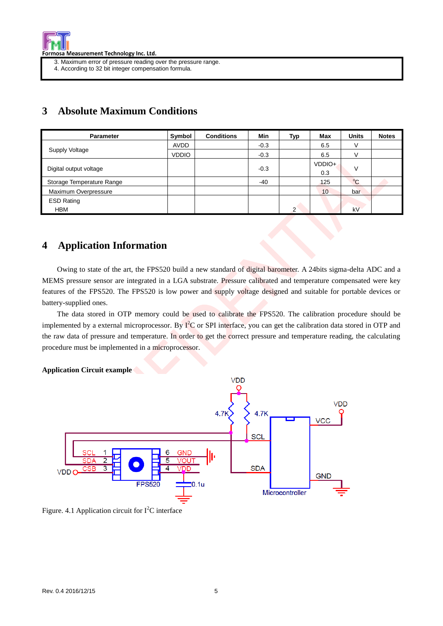

- 3. Maximum error of pressure reading over the pressure range.
- 4. According to 32 bit integer compensation formula.

## **3 Absolute Maximum Conditions**

| <b>Parameter</b>          | Symbol       | <b>Conditions</b> | Min    | Typ            | Max    | <b>Units</b> | <b>Notes</b> |
|---------------------------|--------------|-------------------|--------|----------------|--------|--------------|--------------|
|                           | <b>AVDD</b>  |                   | $-0.3$ |                | 6.5    | V            |              |
| Supply Voltage            | <b>VDDIO</b> |                   | $-0.3$ |                | 6.5    | V            |              |
|                           |              |                   |        |                | VDDIO+ | v            |              |
| Digital output voltage    |              |                   | $-0.3$ |                | 0.3    |              |              |
| Storage Temperature Range |              |                   | $-40$  |                | 125    | $^{\circ}$ C |              |
| Maximum Overpressure      |              |                   |        |                | 10     | bar          |              |
| <b>ESD Rating</b>         |              |                   |        |                |        |              |              |
| <b>HBM</b>                |              |                   |        | $\overline{2}$ |        | kV           |              |

## **4 Application Information**

Owing to state of the art, the FPS520 build a new standard of digital barometer. A 24bits sigma-delta ADC and a MEMS pressure sensor are integrated in a LGA substrate. Pressure calibrated and temperature compensated were key features of the FPS520. The FPS520 is low power and supply voltage designed and suitable for portable devices or battery-supplied ones.

 The data stored in OTP memory could be used to calibrate the FPS520. The calibration procedure should be implemented by a external microprocessor. By  $I^2C$  or SPI interface, you can get the calibration data stored in OTP and the raw data of pressure and temperature. In order to get the correct pressure and temperature reading, the calculating procedure must be implemented in a microprocessor.

#### **Application Circuit example**



Figure. 4.1 Application circuit for  $I<sup>2</sup>C$  interface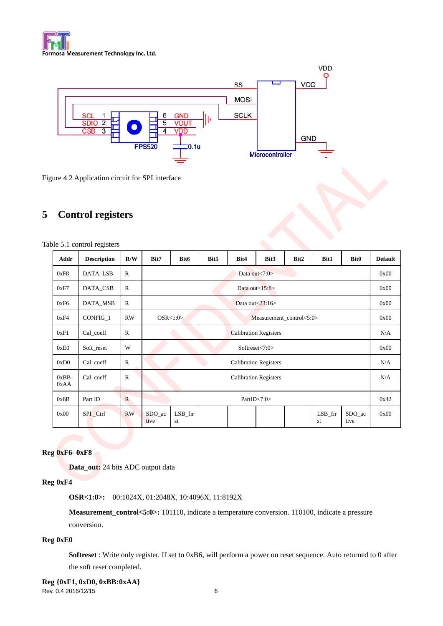



Figure 4.2 Application circuit for SPI interface

## **5 Control registers**

| Addr            | <b>Description</b> | R/W          | Bit7                        | Bit <sub>6</sub>                     | Bit <sub>5</sub> | Bit4 | Bit3 | Bit2 | Bit1             | <b>Bit0</b>    | <b>Default</b> |
|-----------------|--------------------|--------------|-----------------------------|--------------------------------------|------------------|------|------|------|------------------|----------------|----------------|
| 0xF8            | DATA_LSB           | $\mathbb{R}$ |                             | Data out $\langle 7:0 \rangle$       |                  |      |      |      |                  |                |                |
| 0xF7            | DATA_CSB           | $\mathbb{R}$ |                             | Data out $<15:8>$                    |                  |      |      |      |                  |                | 0x00           |
| 0xF6            | DATA_MSB           | $\mathbb{R}$ |                             | Data out $\langle 23:16 \rangle$     |                  |      |      |      |                  |                | 0x00           |
| 0xF4            | CONFIG_1           | <b>RW</b>    |                             | OSR<1:0><br>Measurement_control<5:0> |                  |      |      |      |                  | 0x00           |                |
| 0xF1            | Cal_coeff          | $\mathbb{R}$ |                             | <b>Calibration Registers</b>         |                  |      |      |      |                  |                | N/A            |
| 0xE0            | Soft_reset         | W            |                             | Softreset<7:0>                       |                  |      |      |      |                  |                | 0x00           |
| 0xD0            | Cal_coeff          | $\mathbb{R}$ |                             | <b>Calibration Registers</b>         |                  |      |      |      |                  |                | N/A            |
| $0xBB-$<br>0xAA | Cal_coeff          | $\mathbb{R}$ |                             | <b>Calibration Registers</b>         |                  |      |      |      |                  |                | N/A            |
| 0x6B            | Part ID            | $\mathbb{R}$ |                             | PartID $< 7:0$                       |                  |      |      |      |                  | 0x42           |                |
| 0x00            | SPI_Ctrl           | <b>RW</b>    | SDO <sub>1</sub> ac<br>tive | $LSB_$ fir<br>st                     |                  |      |      |      | $LSB_$ fir<br>st | SDO ac<br>tive | 0x00           |

#### **Reg 0xF60xF8**

**Data\_out:** 24 bits ADC output data

#### **Reg 0xF4**

**OSR<1:0>:** 00:1024X, 01:2048X, 10:4096X, 11:8192X

**Measurement\_control<5:0>:** 101110, indicate a temperature conversion. 110100, indicate a pressure conversion.

#### **Reg 0xE0**

**Softreset** : Write only register. If set to 0xB6, will perform a power on reset sequence. Auto returned to 0 after the soft reset completed.

Rev. 0.4 2016/12/15 6 **Reg {0xF1, 0xD0, 0xBB:0xAA}**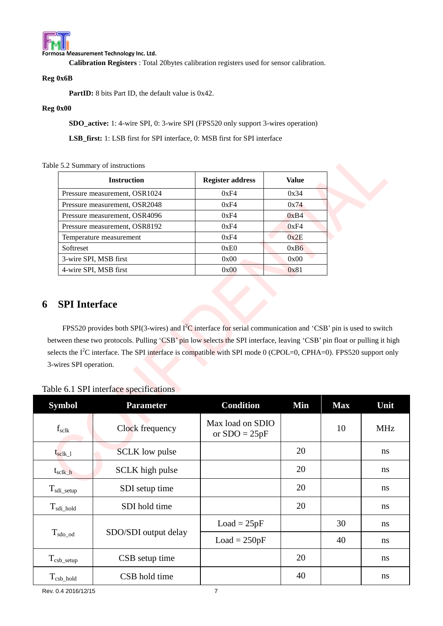

Formosa Measurement Technology Inc. Ltd.

**Calibration Registers** : Total 20bytes calibration registers used for sensor calibration.

#### **Reg 0x6B**

PartID: 8 bits Part ID, the default value is 0x42.

#### **Reg 0x00**

**SDO\_active:** 1: 4-wire SPI, 0: 3-wire SPI (FPS520 only support 3-wires operation)

**LSB\_first:** 1: LSB first for SPI interface, 0: MSB first for SPI interface

#### Table 5.2 Summary of instructions

| <b>Instruction</b>            | <b>Register address</b> | Value |
|-------------------------------|-------------------------|-------|
| Pressure measurement, OSR1024 | 0xF4                    | 0x34  |
| Pressure measurement, OSR2048 | 0xF4                    | 0x74  |
| Pressure measurement, OSR4096 | 0xF4                    | 0xB4  |
| Pressure measurement, OSR8192 | 0xF4                    | 0xF4  |
| Temperature measurement       | 0xF4                    | 0x2E  |
| Softreset                     | 0xE0                    | 0xB6  |
| 3-wire SPI, MSB first         | 0x00                    | 0x00  |
| 4-wire SPI, MSB first         | 0x00                    | 0x81  |

## **6 SPI Interface**

FPS520 provides both SPI(3-wires) and  $I^2C$  interface for serial communication and 'CSB' pin is used to switch between these two protocols. Pulling 'CSB' pin low selects the SPI interface, leaving 'CSB' pin float or pulling it high selects the I<sup>2</sup>C interface. The SPI interface is compatible with SPI mode 0 (CPOL=0, CPHA=0). FPS520 support only 3-wires SPI operation.

| <b>Symbol</b>                              | <b>Parameter</b>      | <b>Condition</b>                    | Min | <b>Max</b> | Unit          |
|--------------------------------------------|-----------------------|-------------------------------------|-----|------------|---------------|
| $f_{\rm sclk}$                             | Clock frequency       | Max load on SDIO<br>or $SDO = 25pF$ |     | 10         | <b>MHz</b>    |
| $\mathsf{t}_{\mathrm{sc} \mathrm{lk} \_1}$ | <b>SCLK</b> low pulse |                                     | 20  |            | <sub>ns</sub> |
| $t_{\rm sclk\_h}$                          | SCLK high pulse       |                                     | 20  |            | ns            |
| $T_{\text{sdi\_setup}}$                    | SDI setup time        |                                     | 20  |            | <sub>ns</sub> |
| $T_{sdi\_hold}$                            | SDI hold time         |                                     | 20  |            | ns            |
|                                            |                       | $Load = 25pF$                       |     | 30         | ns            |
| $T_{\rm sdo\_od}$                          | SDO/SDI output delay  | $Load = 250pF$                      |     | 40         | ns            |
| $T_{csb\_setup}$                           | CSB setup time        |                                     | 20  |            | <sub>ns</sub> |
| $T_{csb\_hold}$                            | CSB hold time         |                                     | 40  |            | <sub>ns</sub> |

Table 6.1 SPI interface specifications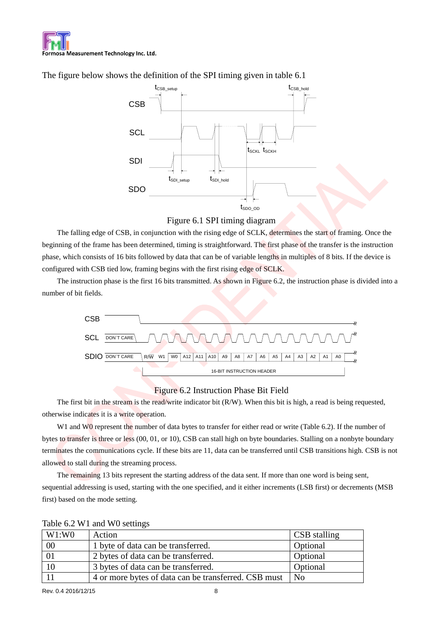

The figure below shows the definition of the SPI timing given in table 6.1





The falling edge of CSB, in conjunction with the rising edge of SCLK, determines the start of framing. Once the beginning of the frame has been determined, timing is straightforward. The first phase of the transfer is the instruction phase, which consists of 16 bits followed by data that can be of variable lengths in multiples of 8 bits. If the device is configured with CSB tied low, framing begins with the first rising edge of SCLK.

The instruction phase is the first 16 bits transmitted. As shown in Figure 6.2, the instruction phase is divided into a number of bit fields.



#### Figure 6.2 Instruction Phase Bit Field

The first bit in the stream is the read/write indicator bit (R/W). When this bit is high, a read is being requested, otherwise indicates it is a write operation.

W1 and W0 represent the number of data bytes to transfer for either read or write (Table 6.2). If the number of bytes to transfer is three or less (00, 01, or 10), CSB can stall high on byte boundaries. Stalling on a nonbyte boundary terminates the communications cycle. If these bits are 11, data can be transferred until CSB transitions high. CSB is not allowed to stall during the streaming process.

The remaining 13 bits represent the starting address of the data sent. If more than one word is being sent, sequential addressing is used, starting with the one specified, and it either increments (LSB first) or decrements (MSB first) based on the mode setting.

| W1:WO  | Action                                               | <b>CSB</b> stalling |
|--------|------------------------------------------------------|---------------------|
| $00\,$ | 1 byte of data can be transferred.                   | Optional            |
|        | 2 bytes of data can be transferred.                  | Optional            |
| 10     | 3 bytes of data can be transferred.                  | Optional            |
|        | 4 or more bytes of data can be transferred. CSB must | N <sub>0</sub>      |

Table 6.2 W1 and W0 settings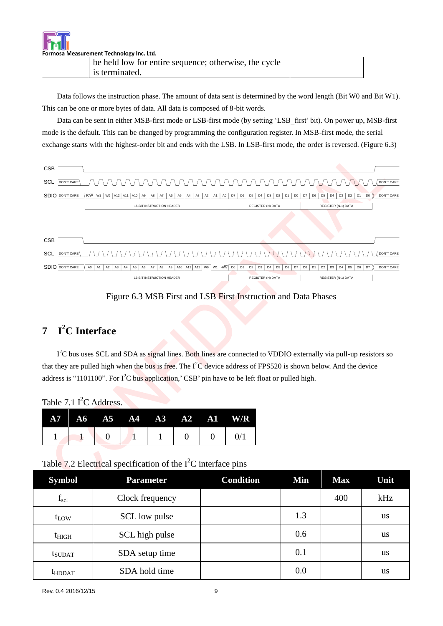Formosa Measurement Technology Inc. Ltd.

| be held low for entire sequence; otherwise, the cycle |  |
|-------------------------------------------------------|--|
| is terminated.                                        |  |

Data follows the instruction phase. The amount of data sent is determined by the word length (Bit W0 and Bit W1). This can be one or more bytes of data. All data is composed of 8-bit words.

Data can be sent in either MSB-first mode or LSB-first mode (by setting "LSB\_first" bit). On power up, MSB-first mode is the default. This can be changed by programming the configuration register. In MSB-first mode, the serial exchange starts with the highest-order bit and ends with the LSB. In LSB-first mode, the order is reversed. (Figure 6.3)



### Figure 6.3 MSB First and LSB First Instruction and Data Phases

## **7 I <sup>2</sup>C Interface**

I<sup>2</sup>C bus uses SCL and SDA as signal lines. Both lines are connected to VDDIO externally via pull-up resistors so that they are pulled high when the bus is free. The  $I^2C$  device address of FPS520 is shown below. And the device address is "1101100". For I<sup>2</sup>C bus application,' CSB' pin have to be left float or pulled high.

Table 7.1  $I^2C$  Address.

|  |  |  |                                 | $A7 \tA6 \tA5 \tA4 \tA3 \tA2 \tA1 \tW/R$ |
|--|--|--|---------------------------------|------------------------------------------|
|  |  |  | $\begin{matrix} 0 \end{matrix}$ | 0/1                                      |

Table 7.2 Electrical specification of the  $I<sup>2</sup>C$  interface pins

| <b>Symbol</b>      | <b>Parameter</b> | <b>Condition</b> | Min | <b>Max</b> | Unit      |
|--------------------|------------------|------------------|-----|------------|-----------|
| $f_{\rm scl}$      | Clock frequency  |                  |     | 400        | kHz       |
| $t_{LOW}$          | SCL low pulse    |                  | 1.3 |            | us        |
| t <sub>HIGH</sub>  | SCL high pulse   |                  | 0.6 |            | us        |
| t <sub>SUDAT</sub> | SDA setup time   |                  | 0.1 |            | <b>us</b> |
| t <sub>HDDAT</sub> | SDA hold time    |                  | 0.0 |            | us        |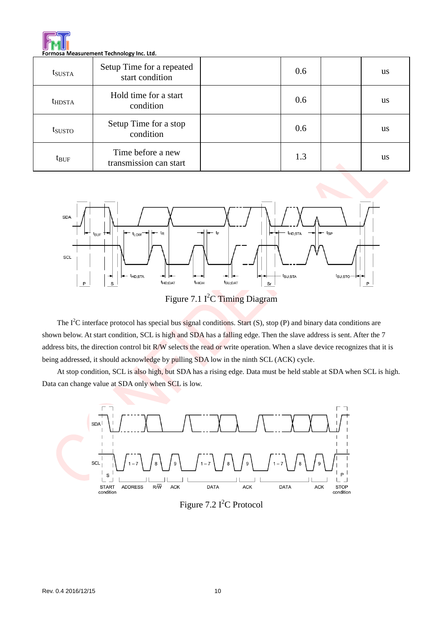

| t <sub>SUSTA</sub> | Setup Time for a repeated<br>start condition | 0.6 | <b>us</b> |
|--------------------|----------------------------------------------|-----|-----------|
| t <sub>HDSTA</sub> | Hold time for a start<br>condition           | 0.6 | <b>us</b> |
| tsusto             | Setup Time for a stop<br>condition           | 0.6 | <b>us</b> |
| $t_{\text{BUF}}$   | Time before a new<br>transmission can start  | 1.3 | <b>us</b> |



Figure 7.1 I<sup>2</sup>C Timing Diagram

The  $I^2C$  interface protocol has special bus signal conditions. Start (S), stop (P) and binary data conditions are shown below. At start condition, SCL is high and SDA has a falling edge. Then the slave address is sent. After the 7 address bits, the direction control bit R/W selects the read or write operation. When a slave device recognizes that it is being addressed, it should acknowledge by pulling SDA low in the ninth SCL (ACK) cycle.

At stop condition, SCL is also high, but SDA has a rising edge. Data must be held stable at SDA when SCL is high. Data can change value at SDA only when SCL is low.



Figure 7.2 I<sup>2</sup>C Protocol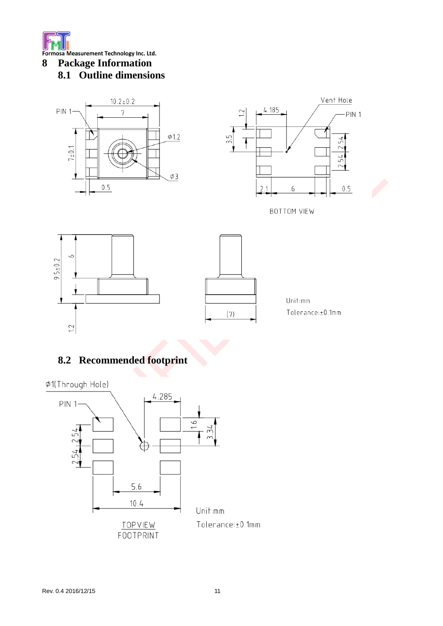

**8 Package Information 8.1 Outline dimensions**



# **8.2 Recommended footprint**



 $1.2$